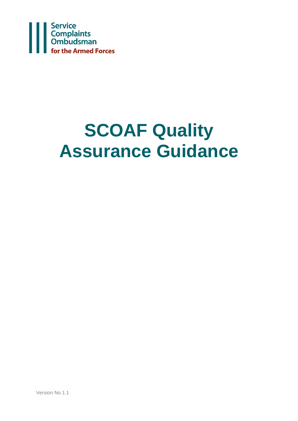

# **SCOAF Quality Assurance Guidance**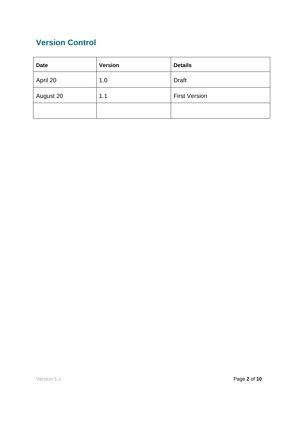# **Version Control**

| <b>Date</b> | <b>Version</b> | <b>Details</b>       |
|-------------|----------------|----------------------|
| April 20    | 1.0            | <b>Draft</b>         |
| August 20   | 1.1            | <b>First Version</b> |
|             |                |                      |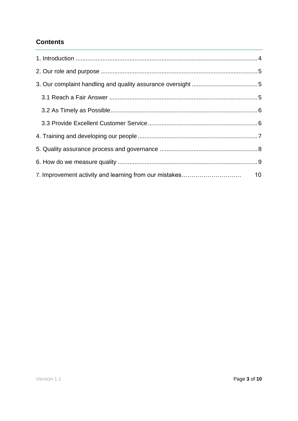## **Contents**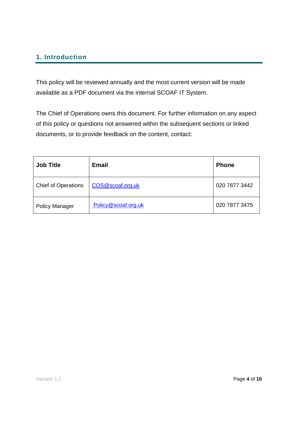# <span id="page-3-0"></span>**1. Introduction**

This policy will be reviewed annually and the most current version will be made available as a PDF document via the internal SCOAF IT System.

The Chief of Operations owns this document. For further information on any aspect of this policy or questions not answered within the subsequent sections or linked documents, or to provide feedback on the content, contact:

| <b>Job Title</b>           | <b>Email</b>        | <b>Phone</b>  |
|----------------------------|---------------------|---------------|
| <b>Chief of Operations</b> | COS@scoaf.org.uk    | 020 7877 3442 |
| <b>Policy Manager</b>      | Policy@scoaf.org.uk | 020 7877 3475 |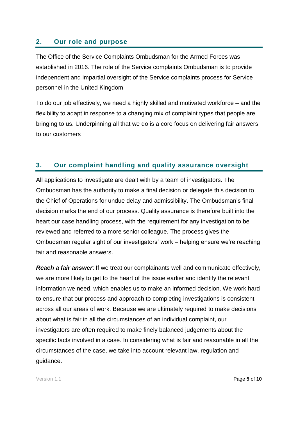#### <span id="page-4-0"></span>**2. Our role and purpose**

The Office of the Service Complaints Ombudsman for the Armed Forces was established in 2016. The role of the Service complaints Ombudsman is to provide independent and impartial oversight of the Service complaints process for Service personnel in the United Kingdom

To do our job effectively, we need a highly skilled and motivated workforce – and the flexibility to adapt in response to a changing mix of complaint types that people are bringing to us. Underpinning all that we do is a core focus on delivering fair answers to our customers

#### <span id="page-4-1"></span>**3. Our complaint handling and quality assurance oversight**

All applications to investigate are dealt with by a team of investigators. The Ombudsman has the authority to make a final decision or delegate this decision to the Chief of Operations for undue delay and admissibility. The Ombudsman's final decision marks the end of our process. Quality assurance is therefore built into the heart our case handling process, with the requirement for any investigation to be reviewed and referred to a more senior colleague. The process gives the Ombudsmen regular sight of our investigators' work – helping ensure we're reaching fair and reasonable answers.

*Reach a fair answer*: If we treat our complainants well and communicate effectively, we are more likely to get to the heart of the issue earlier and identify the relevant information we need, which enables us to make an informed decision. We work hard to ensure that our process and approach to completing investigations is consistent across all our areas of work. Because we are ultimately required to make decisions about what is fair in all the circumstances of an individual complaint, our investigators are often required to make finely balanced judgements about the specific facts involved in a case. In considering what is fair and reasonable in all the circumstances of the case, we take into account relevant law, regulation and guidance.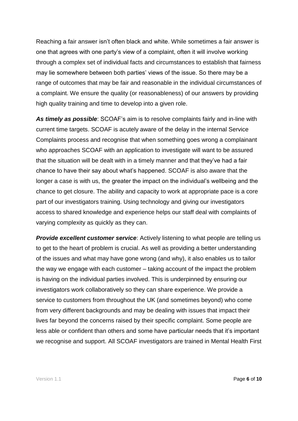Reaching a fair answer isn't often black and white. While sometimes a fair answer is one that agrees with one party's view of a complaint, often it will involve working through a complex set of individual facts and circumstances to establish that fairness may lie somewhere between both parties' views of the issue. So there may be a range of outcomes that may be fair and reasonable in the individual circumstances of a complaint. We ensure the quality (or reasonableness) of our answers by providing high quality training and time to develop into a given role.

*As timely as possible*: SCOAF's aim is to resolve complaints fairly and in-line with current time targets. SCOAF is acutely aware of the delay in the internal Service Complaints process and recognise that when something goes wrong a complainant who approaches SCOAF with an application to investigate will want to be assured that the situation will be dealt with in a timely manner and that they've had a fair chance to have their say about what's happened. SCOAF is also aware that the longer a case is with us, the greater the impact on the individual's wellbeing and the chance to get closure. The ability and capacity to work at appropriate pace is a core part of our investigators training. Using technology and giving our investigators access to shared knowledge and experience helps our staff deal with complaints of varying complexity as quickly as they can.

*Provide excellent customer service:* Actively listening to what people are telling us to get to the heart of problem is crucial. As well as providing a better understanding of the issues and what may have gone wrong (and why), it also enables us to tailor the way we engage with each customer – taking account of the impact the problem is having on the individual parties involved. This is underpinned by ensuring our investigators work collaboratively so they can share experience. We provide a service to customers from throughout the UK (and sometimes beyond) who come from very different backgrounds and may be dealing with issues that impact their lives far beyond the concerns raised by their specific complaint. Some people are less able or confident than others and some have particular needs that it's important we recognise and support. All SCOAF investigators are trained in Mental Health First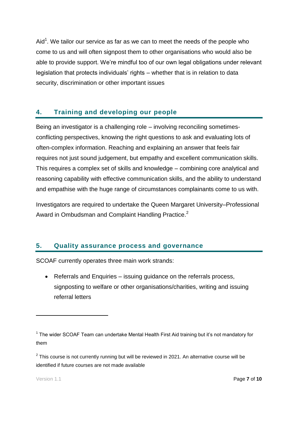Aid<sup>1</sup>. We tailor our service as far as we can to meet the needs of the people who come to us and will often signpost them to other organisations who would also be able to provide support. We're mindful too of our own legal obligations under relevant legislation that protects individuals' rights – whether that is in relation to data security, discrimination or other important issues

# **4. Training and developing our people**

Being an investigator is a challenging role – involving reconciling sometimesconflicting perspectives, knowing the right questions to ask and evaluating lots of often-complex information. Reaching and explaining an answer that feels fair requires not just sound judgement, but empathy and excellent communication skills. This requires a complex set of skills and knowledge – combining core analytical and reasoning capability with effective communication skills, and the ability to understand and empathise with the huge range of circumstances complainants come to us with.

Investigators are required to undertake the Queen Margaret University–Professional Award in Ombudsman and Complaint Handling Practice.<sup>2</sup>

### **5. Quality assurance process and governance**

SCOAF currently operates three main work strands:

• Referrals and Enquiries – issuing guidance on the referrals process, signposting to welfare or other organisations/charities, writing and issuing referral letters

1

 $1$  The wider SCOAF Team can undertake Mental Health First Aid training but it's not mandatory for them

 $2$  This course is not currently running but will be reviewed in 2021. An alternative course will be identified if future courses are not made available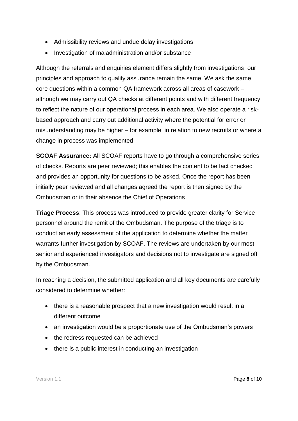- Admissibility reviews and undue delay investigations
- Investigation of maladministration and/or substance

Although the referrals and enquiries element differs slightly from investigations, our principles and approach to quality assurance remain the same. We ask the same core questions within a common QA framework across all areas of casework – although we may carry out QA checks at different points and with different frequency to reflect the nature of our operational process in each area. We also operate a riskbased approach and carry out additional activity where the potential for error or misunderstanding may be higher – for example, in relation to new recruits or where a change in process was implemented.

**SCOAF Assurance:** All SCOAF reports have to go through a comprehensive series of checks. Reports are peer reviewed; this enables the content to be fact checked and provides an opportunity for questions to be asked. Once the report has been initially peer reviewed and all changes agreed the report is then signed by the Ombudsman or in their absence the Chief of Operations

**Triage Process**: This process was introduced to provide greater clarity for Service personnel around the remit of the Ombudsman. The purpose of the triage is to conduct an early assessment of the application to determine whether the matter warrants further investigation by SCOAF. The reviews are undertaken by our most senior and experienced investigators and decisions not to investigate are signed off by the Ombudsman.

In reaching a decision, the submitted application and all key documents are carefully considered to determine whether:

- there is a reasonable prospect that a new investigation would result in a different outcome
- an investigation would be a proportionate use of the Ombudsman's powers
- the redress requested can be achieved
- there is a public interest in conducting an investigation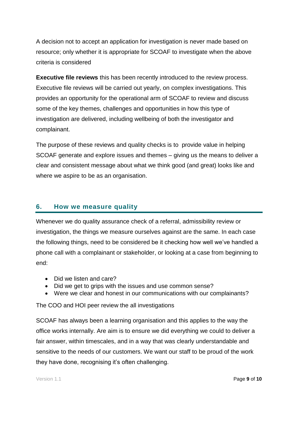A decision not to accept an application for investigation is never made based on resource; only whether it is appropriate for SCOAF to investigate when the above criteria is considered

**Executive file reviews** this has been recently introduced to the review process. Executive file reviews will be carried out yearly, on complex investigations. This provides an opportunity for the operational arm of SCOAF to review and discuss some of the key themes, challenges and opportunities in how this type of investigation are delivered, including wellbeing of both the investigator and complainant.

The purpose of these reviews and quality checks is to provide value in helping SCOAF generate and explore issues and themes – giving us the means to deliver a clear and consistent message about what we think good (and great) looks like and where we aspire to be as an organisation.

#### **6. How we measure quality**

Whenever we do quality assurance check of a referral, admissibility review or investigation, the things we measure ourselves against are the same. In each case the following things, need to be considered be it checking how well we've handled a phone call with a complainant or stakeholder, or looking at a case from beginning to end:

- Did we listen and care?
- Did we get to grips with the issues and use common sense?
- Were we clear and honest in our communications with our complainants?

The COO and HOI peer review the all investigations

SCOAF has always been a learning organisation and this applies to the way the office works internally. Are aim is to ensure we did everything we could to deliver a fair answer, within timescales, and in a way that was clearly understandable and sensitive to the needs of our customers. We want our staff to be proud of the work they have done, recognising it's often challenging.